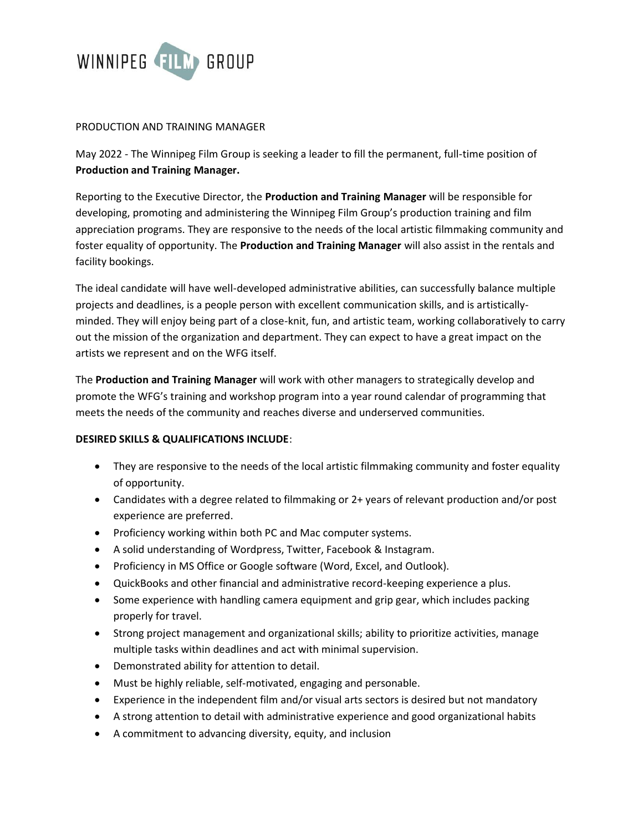

## PRODUCTION AND TRAINING MANAGER

May 2022 - The Winnipeg Film Group is seeking a leader to fill the permanent, full-time position of **Production and Training Manager.**

Reporting to the Executive Director, the **Production and Training Manager** will be responsible for developing, promoting and administering the Winnipeg Film Group's production training and film appreciation programs. They are responsive to the needs of the local artistic filmmaking community and foster equality of opportunity. The **Production and Training Manager** will also assist in the rentals and facility bookings.

The ideal candidate will have well-developed administrative abilities, can successfully balance multiple projects and deadlines, is a people person with excellent communication skills, and is artisticallyminded. They will enjoy being part of a close-knit, fun, and artistic team, working collaboratively to carry out the mission of the organization and department. They can expect to have a great impact on the artists we represent and on the WFG itself.

The **Production and Training Manager** will work with other managers to strategically develop and promote the WFG's training and workshop program into a year round calendar of programming that meets the needs of the community and reaches diverse and underserved communities.

## **DESIRED SKILLS & QUALIFICATIONS INCLUDE**:

- They are responsive to the needs of the local artistic filmmaking community and foster equality of opportunity.
- Candidates with a degree related to filmmaking or 2+ years of relevant production and/or post experience are preferred.
- Proficiency working within both PC and Mac computer systems.
- A solid understanding of Wordpress, Twitter, Facebook & Instagram.
- Proficiency in MS Office or Google software (Word, Excel, and Outlook).
- QuickBooks and other financial and administrative record-keeping experience a plus.
- Some experience with handling camera equipment and grip gear, which includes packing properly for travel.
- Strong project management and organizational skills; ability to prioritize activities, manage multiple tasks within deadlines and act with minimal supervision.
- Demonstrated ability for attention to detail.
- Must be highly reliable, self-motivated, engaging and personable.
- Experience in the independent film and/or visual arts sectors is desired but not mandatory
- A strong attention to detail with administrative experience and good organizational habits
- A commitment to advancing diversity, equity, and inclusion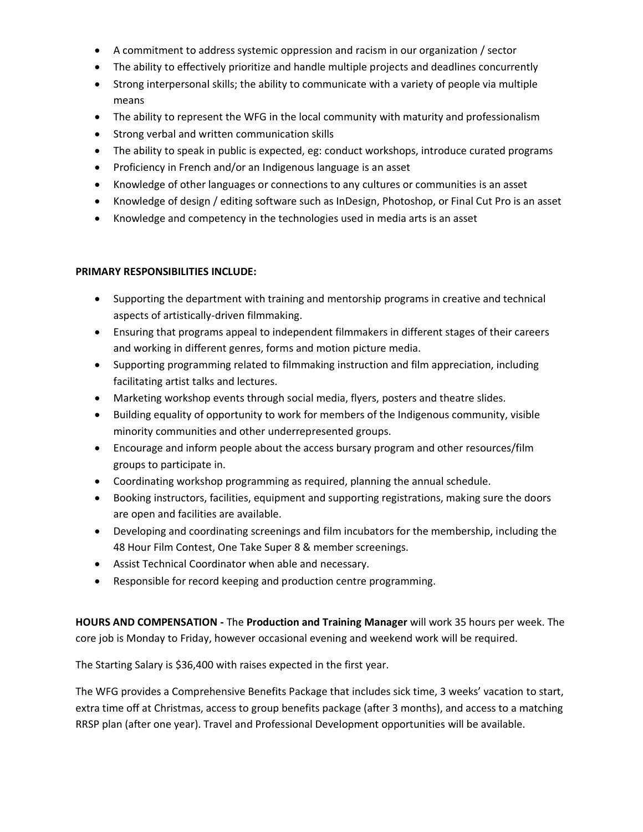- A commitment to address systemic oppression and racism in our organization / sector
- The ability to effectively prioritize and handle multiple projects and deadlines concurrently
- Strong interpersonal skills; the ability to communicate with a variety of people via multiple means
- The ability to represent the WFG in the local community with maturity and professionalism
- Strong verbal and written communication skills
- The ability to speak in public is expected, eg: conduct workshops, introduce curated programs
- Proficiency in French and/or an Indigenous language is an asset
- Knowledge of other languages or connections to any cultures or communities is an asset
- Knowledge of design / editing software such as InDesign, Photoshop, or Final Cut Pro is an asset
- Knowledge and competency in the technologies used in media arts is an asset

## **PRIMARY RESPONSIBILITIES INCLUDE:**

- Supporting the department with training and mentorship programs in creative and technical aspects of artistically-driven filmmaking.
- Ensuring that programs appeal to independent filmmakers in different stages of their careers and working in different genres, forms and motion picture media.
- Supporting programming related to filmmaking instruction and film appreciation, including facilitating artist talks and lectures.
- Marketing workshop events through social media, flyers, posters and theatre slides.
- Building equality of opportunity to work for members of the Indigenous community, visible minority communities and other underrepresented groups.
- Encourage and inform people about the access bursary program and other resources/film groups to participate in.
- Coordinating workshop programming as required, planning the annual schedule.
- Booking instructors, facilities, equipment and supporting registrations, making sure the doors are open and facilities are available.
- Developing and coordinating screenings and film incubators for the membership, including the 48 Hour Film Contest, One Take Super 8 & member screenings.
- Assist Technical Coordinator when able and necessary.
- Responsible for record keeping and production centre programming.

**HOURS AND COMPENSATION -** The **Production and Training Manager** will work 35 hours per week. The core job is Monday to Friday, however occasional evening and weekend work will be required.

The Starting Salary is \$36,400 with raises expected in the first year.

The WFG provides a Comprehensive Benefits Package that includes sick time, 3 weeks' vacation to start, extra time off at Christmas, access to group benefits package (after 3 months), and access to a matching RRSP plan (after one year). Travel and Professional Development opportunities will be available.